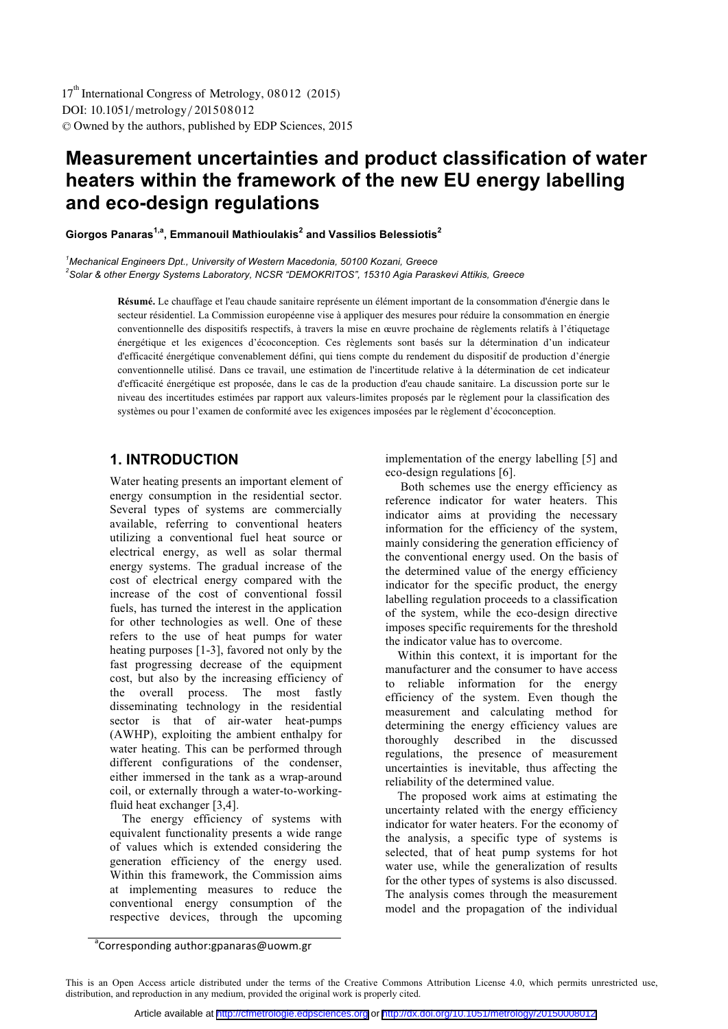# **Measurement uncertainties and product classification of water heaters within the framework of the new EU energy labelling and eco-design regulations**

**Giorgos Panaras1,a, Emmanouil Mathioulakis2 and Vassilios Belessiotis<sup>2</sup>**

*1 Mechanical Engineers Dpt., University of Western Macedonia, 50100 Kozani, Greece 2 Solar & other Energy Systems Laboratory, NCSR "DEMOKRITOS", 15310 Agia Paraskevi Attikis, Greece*

> **Résumé.** Le chauffage et l'eau chaude sanitaire représente un élément important de la consommation d'énergie dans le secteur résidentiel. La Commission européenne vise à appliquer des mesures pour réduire la consommation en énergie conventionnelle des dispositifs respectifs, à travers la mise en œuvre prochaine de règlements relatifs à l'étiquetage énergétique et les exigences d'écoconception. Ces règlements sont basés sur la détermination d'un indicateur d'efficacité énergétique convenablement défini, qui tiens compte du rendement du dispositif de production d'énergie conventionnelle utilisé. Dans ce travail, une estimation de l'incertitude relative à la détermination de cet indicateur d'efficacité énergétique est proposée, dans le cas de la production d'eau chaude sanitaire. La discussion porte sur le niveau des incertitudes estimées par rapport aux valeurs-limites proposés par le règlement pour la classification des systèmes ou pour l'examen de conformité avec les exigences imposées par le règlement d'écoconception.

# **1. INTRODUCTION**

Water heating presents an important element of energy consumption in the residential sector. Several types of systems are commercially available, referring to conventional heaters utilizing a conventional fuel heat source or electrical energy, as well as solar thermal energy systems. The gradual increase of the cost of electrical energy compared with the increase of the cost of conventional fossil fuels, has turned the interest in the application for other technologies as well. One of these refers to the use of heat pumps for water heating purposes [1-3], favored not only by the fast progressing decrease of the equipment cost, but also by the increasing efficiency of the overall process. The most fastly disseminating technology in the residential sector is that of air-water heat-pumps (AWHP), exploiting the ambient enthalpy for water heating. This can be performed through different configurations of the condenser, either immersed in the tank as a wrap-around coil, or externally through a water-to-workingfluid heat exchanger [3,4].

 The energy efficiency of systems with equivalent functionality presents a wide range of values which is extended considering the generation efficiency of the energy used. Within this framework, the Commission aims at implementing measures to reduce the conventional energy consumption of the respective devices, through the upcoming

implementation of the energy labelling [5] and eco-design regulations [6].

 Both schemes use the energy efficiency as reference indicator for water heaters. This indicator aims at providing the necessary information for the efficiency of the system, mainly considering the generation efficiency of the conventional energy used. On the basis of the determined value of the energy efficiency indicator for the specific product, the energy labelling regulation proceeds to a classification of the system, while the eco-design directive imposes specific requirements for the threshold the indicator value has to overcome.

 Within this context, it is important for the manufacturer and the consumer to have access to reliable information for the energy efficiency of the system. Even though the measurement and calculating method for determining the energy efficiency values are thoroughly described in the discussed regulations, the presence of measurement uncertainties is inevitable, thus affecting the reliability of the determined value.

 The proposed work aims at estimating the uncertainty related with the energy efficiency indicator for water heaters. For the economy of the analysis, a specific type of systems is selected, that of heat pump systems for hot water use, while the generalization of results for the other types of systems is also discussed. The analysis comes through the measurement model and the propagation of the individual

a<br>Corresponding author:gpanaras@uowm.gr

This is an Open Access article distributed under the terms of the Creative Commons Attribution License 4.0, which permits unrestricted use, distribution, and reproduction in any medium, provided the original work is properly cited.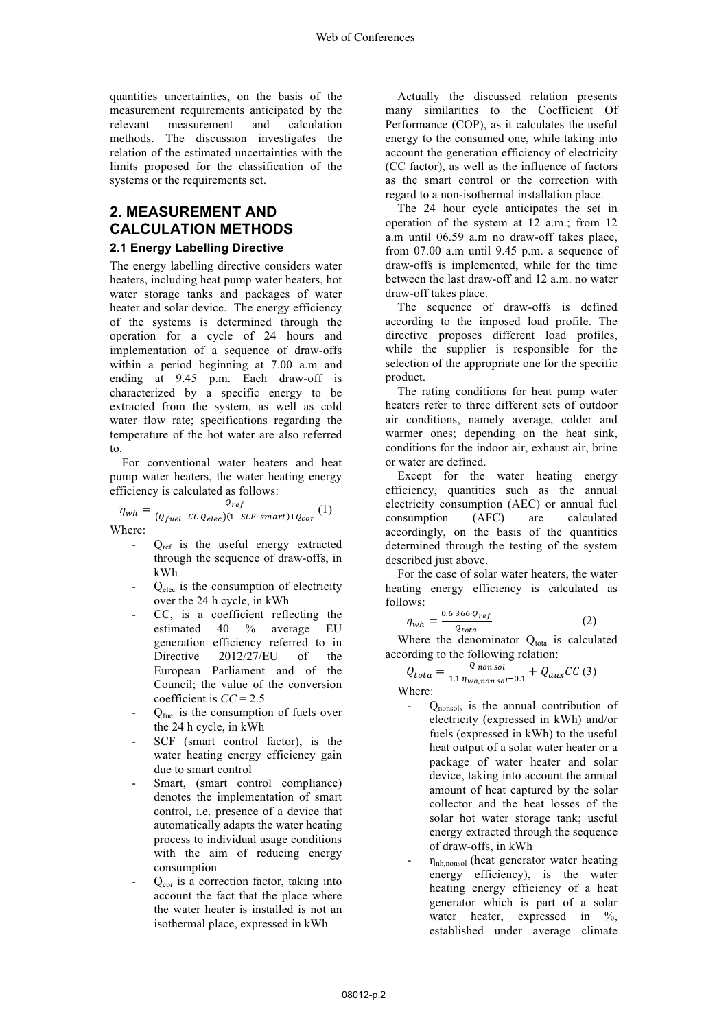quantities uncertainties, on the basis of the measurement requirements anticipated by the relevant measurement and calculation methods. The discussion investigates the relation of the estimated uncertainties with the limits proposed for the classification of the systems or the requirements set.

# **2. MEASUREMENT AND CALCULATION METHODS**

#### **2.1 Energy Labelling Directive**

The energy labelling directive considers water heaters, including heat pump water heaters, hot water storage tanks and packages of water heater and solar device. The energy efficiency of the systems is determined through the operation for a cycle of 24 hours and implementation of a sequence of draw-offs within a period beginning at 7.00 a.m and ending at 9.45 p.m. Each draw-off is characterized by a specific energy to be extracted from the system, as well as cold water flow rate; specifications regarding the temperature of the hot water are also referred to.

 For conventional water heaters and heat pump water heaters, the water heating energy efficiency is calculated as follows:

$$
\eta_{wh} = \frac{Q_{ref}}{(Q_{fuel} + CC Q_{elec})(1 - SCF \cdot smart) + Q_{cor}}(1)
$$
  
Where:

- $Q_{ref}$  is the useful energy extracted through the sequence of draw-offs, in kWh
- $Q_{elec}$  is the consumption of electricity over the 24 h cycle, in kWh
- CC, is a coefficient reflecting the estimated 40 % average EU generation efficiency referred to in Directive 2012/27/EU of the European Parliament and of the Council; the value of the conversion coefficient is *CC* = 2.5
- $Q_{\text{fuel}}$  is the consumption of fuels over the 24 h cycle, in kWh
- SCF (smart control factor), is the water heating energy efficiency gain due to smart control
- Smart, (smart control compliance) denotes the implementation of smart control, i.e. presence of a device that automatically adapts the water heating process to individual usage conditions with the aim of reducing energy consumption
- $Q<sub>cor</sub>$  is a correction factor, taking into account the fact that the place where the water heater is installed is not an isothermal place, expressed in kWh

 Actually the discussed relation presents many similarities to the Coefficient Of Performance (COP), as it calculates the useful energy to the consumed one, while taking into account the generation efficiency of electricity (CC factor), as well as the influence of factors as the smart control or the correction with regard to a non-isothermal installation place.

 The 24 hour cycle anticipates the set in operation of the system at 12 a.m.; from 12 a.m until 06.59 a.m no draw-off takes place, from 07.00 a.m until 9.45 p.m. a sequence of draw-offs is implemented, while for the time between the last draw-off and 12 a.m. no water draw-off takes place.

 The sequence of draw-offs is defined according to the imposed load profile. The directive proposes different load profiles, while the supplier is responsible for the selection of the appropriate one for the specific product.

 The rating conditions for heat pump water heaters refer to three different sets of outdoor air conditions, namely average, colder and warmer ones; depending on the heat sink, conditions for the indoor air, exhaust air, brine or water are defined.

 Except for the water heating energy efficiency, quantities such as the annual electricity consumption (AEC) or annual fuel consumption (AFC) are calculated accordingly, on the basis of the quantities determined through the testing of the system described just above.

 For the case of solar water heaters, the water heating energy efficiency is calculated as follows:

$$
wh = \frac{0.6 \cdot 366 \cdot Q_{ref}}{Q_{total}} \tag{2}
$$

Where the denominator  $Q_{\text{total}}$  is calculated according to the following relation:

$$
Q_{tota} = \frac{Q_{nonsol}}{1.1 \eta_{wh,nonsol} - 0.1} + Q_{aux} CC(3)
$$

Where:

<sub>n</sub>

- $Q_{\text{nonsol}}$ , is the annual contribution of electricity (expressed in kWh) and/or fuels (expressed in kWh) to the useful heat output of a solar water heater or a package of water heater and solar device, taking into account the annual amount of heat captured by the solar collector and the heat losses of the solar hot water storage tank; useful energy extracted through the sequence of draw-offs, in kWh
- $\eta_{\text{nh}.\text{nonsol}}$  (heat generator water heating energy efficiency), is the water heating energy efficiency of a heat generator which is part of a solar water heater, expressed in %, established under average climate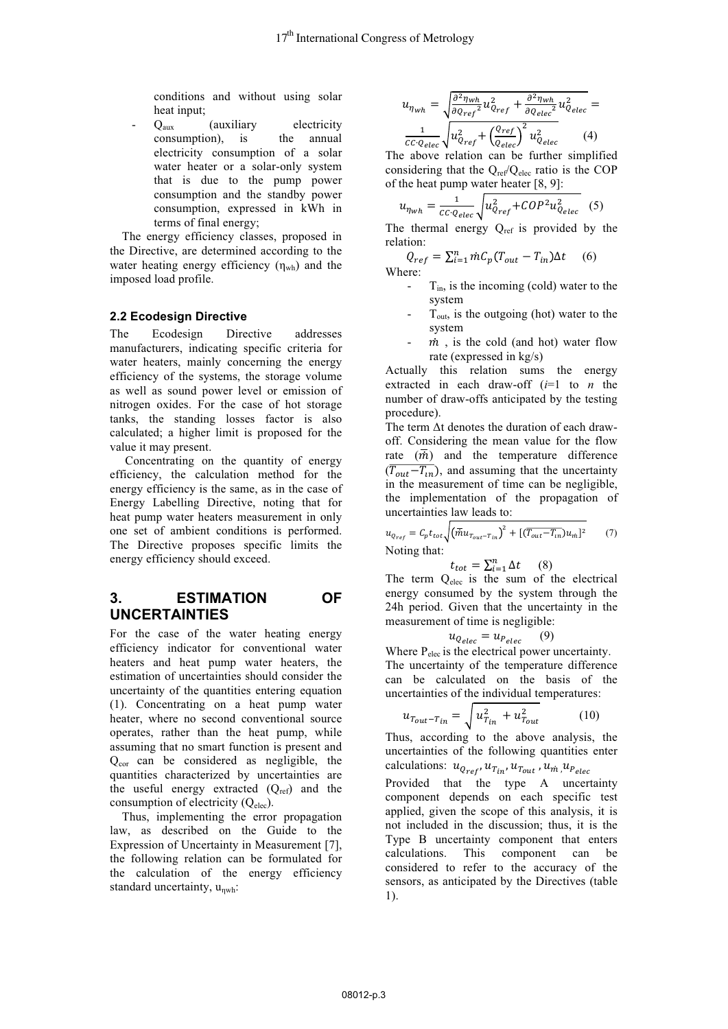conditions and without using solar heat input;

 $Q_{\text{aux}}$  (auxiliary electricity consumption), is the annual electricity consumption of a solar water heater or a solar-only system that is due to the pump power consumption and the standby power consumption, expressed in kWh in terms of final energy;

 The energy efficiency classes, proposed in the Directive, are determined according to the water heating energy efficiency  $(\eta_{wh})$  and the imposed load profile.

#### **2.2 Ecodesign Directive**

The Ecodesign Directive addresses manufacturers, indicating specific criteria for water heaters, mainly concerning the energy efficiency of the systems, the storage volume as well as sound power level or emission of nitrogen oxides. For the case of hot storage tanks, the standing losses factor is also calculated; a higher limit is proposed for the value it may present.

 Concentrating on the quantity of energy efficiency, the calculation method for the energy efficiency is the same, as in the case of Energy Labelling Directive, noting that for heat pump water heaters measurement in only one set of ambient conditions is performed. The Directive proposes specific limits the energy efficiency should exceed.

# **3. ESTIMATION OF UNCERTAINTIES**

For the case of the water heating energy efficiency indicator for conventional water heaters and heat pump water heaters, the estimation of uncertainties should consider the uncertainty of the quantities entering equation (1). Concentrating on a heat pump water heater, where no second conventional source operates, rather than the heat pump, while assuming that no smart function is present and  $Q_{cor}$  can be considered as negligible, the quantities characterized by uncertainties are the useful energy extracted  $(Q_{ref})$  and the consumption of electricity  $(Q_{elec})$ .

 Thus, implementing the error propagation law, as described on the Guide to the Expression of Uncertainty in Measurement [7], the following relation can be formulated for the calculation of the energy efficiency standard uncertainty,  $u_{\text{nwh}}$ :

$$
u_{\eta_{wh}} = \sqrt{\frac{\partial^2 \eta_{wh}}{\partial q_{ref}^2} u_{Q_{ref}}^2 + \frac{\partial^2 \eta_{wh}}{\partial q_{elec}^2} u_{Qelec}^2} = \frac{1}{c c \cdot Q_{elec}} \sqrt{u_{Qref}^2 + \left(\frac{Q_{ref}}{Q_{elec}}\right)^2 u_{Qelec}^2}
$$
(4)

The above relation can be further simplified considering that the  $Q_{ref}/Q_{elec}$  ratio is the COP of the heat pump water heater [8, 9]:

$$
u_{\eta_{wh}} = \frac{1}{cc \cdot Q_{elec}} \sqrt{u_{Q_{ref}}^2 + COP^2 u_{Q_{elec}}^2} \quad (5)
$$

The thermal energy  $Q_{ref}$  is provided by the relation:

$$
Q_{ref} = \sum_{i=1}^{n} \dot{m} C_p (T_{out} - T_{in}) \Delta t \quad (6)
$$
  
Where:

- $T_{in}$ , is the incoming (cold) water to the system
- $T<sub>out</sub>$ , is the outgoing (hot) water to the system
- $\dot{m}$ , is the cold (and hot) water flow rate (expressed in kg/s)

Actually this relation sums the energy extracted in each draw-off (*i*=1 to *n* the number of draw-offs anticipated by the testing procedure).

The term Δt denotes the duration of each drawoff. Considering the mean value for the flow rate  $(\overline{m})$  and the temperature difference  $(\overline{T_{out}-T_{in}})$ , and assuming that the uncertainty in the measurement of time can be negligible, the implementation of the propagation of uncertainties law leads to:

 $u_{Q_{ref}} = C_p t_{tot} \sqrt{\left(\vec{m} u_{T_{out}-T_{in}}\right)}$ <sup>2</sup> +  $[(\overline{T_{out}-T_{in}})u_{m}]^{2}$  (7) Noting that:

$$
t_{tot} = \sum_{i=1}^{n} \Delta t \qquad (8)
$$

The term  $Q_{elec}$  is the sum of the electrical energy consumed by the system through the 24h period. Given that the uncertainty in the measurement of time is negligible:

$$
u_{Q_{elec}} = u_{P_{elec}} \qquad (9)
$$

Where P<sub>elec</sub> is the electrical power uncertainty. The uncertainty of the temperature difference can be calculated on the basis of the uncertainties of the individual temperatures:

$$
u_{T_{out}-T_{in}} = \sqrt{u_{T_{in}}^2 + u_{T_{out}}^2} \tag{10}
$$

Thus, according to the above analysis, the uncertainties of the following quantities enter calculations:  $u_{Q_{ref}}, u_{T_{in}}, u_{T_{out}}, u_m, u_{P_{elec}}$ 

Provided that the type A uncertainty component depends on each specific test applied, given the scope of this analysis, it is not included in the discussion; thus, it is the Type B uncertainty component that enters calculations. This component can be considered to refer to the accuracy of the sensors, as anticipated by the Directives (table 1).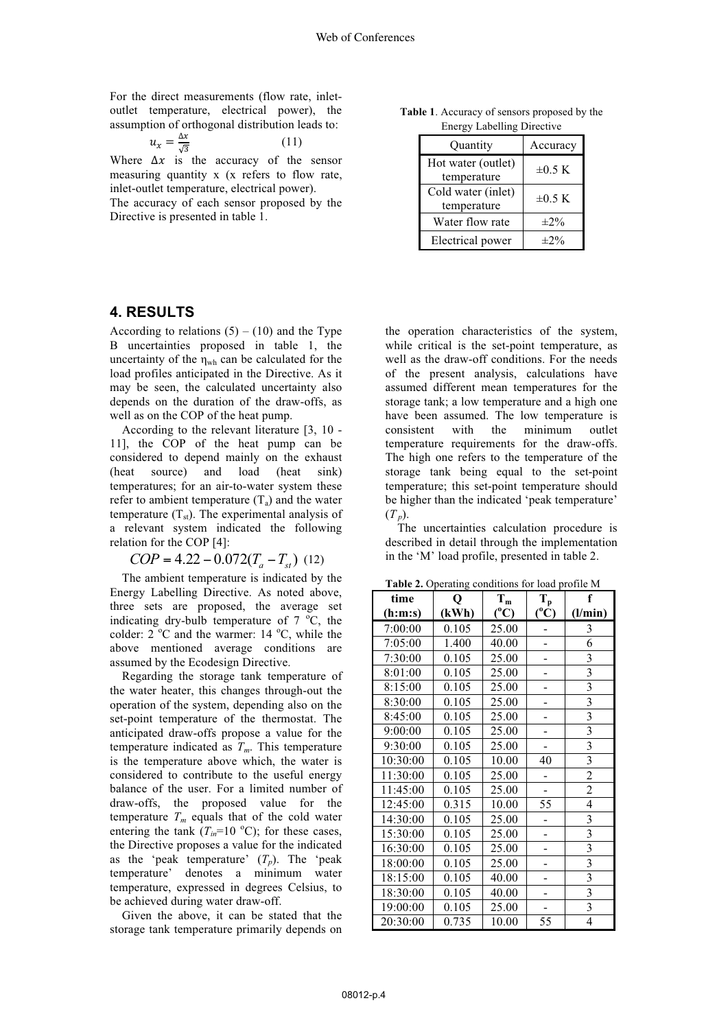For the direct measurements (flow rate, inletoutlet temperature, electrical power), the assumption of orthogonal distribution leads to:

$$
u_x = \frac{\Delta x}{\sqrt{3}}\tag{11}
$$

Where  $\Delta x$  is the accuracy of the sensor measuring quantity x (x refers to flow rate, inlet-outlet temperature, electrical power).

The accuracy of each sensor proposed by the Directive is presented in table 1.

**Table 1**. Accuracy of sensors proposed by the Energy Labelling Directive

| Quantity                          | Accuracy    |
|-----------------------------------|-------------|
| Hot water (outlet)<br>temperature | $\pm 0.5$ K |
| Cold water (inlet)<br>temperature | $\pm 0.5$ K |
| Water flow rate                   | $\pm 2\%$   |
| Electrical power                  | $\pm 2\%$   |

# **4. RESULTS**

According to relations  $(5) - (10)$  and the Type B uncertainties proposed in table 1, the uncertainty of the  $\eta_{wh}$  can be calculated for the load profiles anticipated in the Directive. As it may be seen, the calculated uncertainty also depends on the duration of the draw-offs, as well as on the COP of the heat pump.

 According to the relevant literature [3, 10 - 11], the COP of the heat pump can be considered to depend mainly on the exhaust (heat source) and load (heat sink) temperatures; for an air-to-water system these refer to ambient temperature  $(T_a)$  and the water temperature  $(T<sub>st</sub>)$ . The experimental analysis of a relevant system indicated the following relation for the COP [4]:

$$
COP = 4.22 - 0.072(T_a - T_{st})
$$
 (12)

 The ambient temperature is indicated by the Energy Labelling Directive. As noted above, three sets are proposed, the average set indicating dry-bulb temperature of  $7^{\circ}$ C, the colder:  $2^{\circ}$ C and the warmer: 14  $^{\circ}$ C, while the above mentioned average conditions are assumed by the Ecodesign Directive.

 Regarding the storage tank temperature of the water heater, this changes through-out the operation of the system, depending also on the set-point temperature of the thermostat. The anticipated draw-offs propose a value for the temperature indicated as  $T_m$ . This temperature is the temperature above which, the water is considered to contribute to the useful energy balance of the user. For a limited number of draw-offs, the proposed value for the temperature  $T_m$  equals that of the cold water entering the tank  $(T_{in} = 10^{\circ}\text{C})$ ; for these cases, the Directive proposes a value for the indicated as the 'peak temperature'  $(T_p)$ . The 'peak temperature' denotes a minimum water temperature, expressed in degrees Celsius, to be achieved during water draw-off.

 Given the above, it can be stated that the storage tank temperature primarily depends on

the operation characteristics of the system, while critical is the set-point temperature, as well as the draw-off conditions. For the needs of the present analysis, calculations have assumed different mean temperatures for the storage tank; a low temperature and a high one have been assumed. The low temperature is consistent with the minimum outlet temperature requirements for the draw-offs. The high one refers to the temperature of the storage tank being equal to the set-point temperature; this set-point temperature should be higher than the indicated 'peak temperature' (*T p*).

 The uncertainties calculation procedure is described in detail through the implementation in the 'M' load profile, presented in table 2.

**Table 2.** Operating conditions for load profile M

| time     | Q     | $T_m$         | $T_p$         | f                       |  |
|----------|-------|---------------|---------------|-------------------------|--|
| (h:m:s)  | (kWh) | $(^{\circ}C)$ | $(^{\circ}C)$ | (l/min)                 |  |
| 7:00:00  | 0.105 | 25.00         |               | 3                       |  |
| 7:05:00  | 1.400 | 40.00         |               | 6                       |  |
| 7:30:00  | 0.105 | 25.00         |               | 3                       |  |
| 8:01:00  | 0.105 | 25.00         |               | $\overline{\mathbf{3}}$ |  |
| 8:15:00  | 0.105 | 25.00         |               | $\overline{\mathbf{3}}$ |  |
| 8:30:00  | 0.105 | 25.00         | -             | $\overline{\mathbf{3}}$ |  |
| 8:45:00  | 0.105 | 25.00         |               | $\overline{\mathbf{3}}$ |  |
| 9:00:00  | 0.105 | 25.00         |               | $\overline{\mathbf{3}}$ |  |
| 9:30:00  | 0.105 | 25.00         |               | 3                       |  |
| 10:30:00 | 0.105 | 10.00         | 40            | $\overline{3}$          |  |
| 11:30:00 | 0.105 | 25.00         |               | $\overline{2}$          |  |
| 11:45:00 | 0.105 | 25.00         |               | $\overline{c}$          |  |
| 12:45:00 | 0.315 | 10.00         | 55            | 4                       |  |
| 14:30:00 | 0.105 | 25.00         |               | $\overline{\mathbf{3}}$ |  |
| 15:30:00 | 0.105 | 25.00         |               | $\overline{\mathbf{3}}$ |  |
| 16:30:00 | 0.105 | 25.00         |               | $\overline{\mathbf{3}}$ |  |
| 18:00:00 | 0.105 | 25.00         |               | $\overline{\mathbf{3}}$ |  |
| 18:15:00 | 0.105 | 40.00         |               | 3                       |  |
| 18:30:00 | 0.105 | 40.00         |               | $\overline{3}$          |  |
| 19:00:00 | 0.105 | 25.00         |               | $\overline{\mathbf{3}}$ |  |
| 20:30:00 | 0.735 | 10.00         | 55            | $\overline{4}$          |  |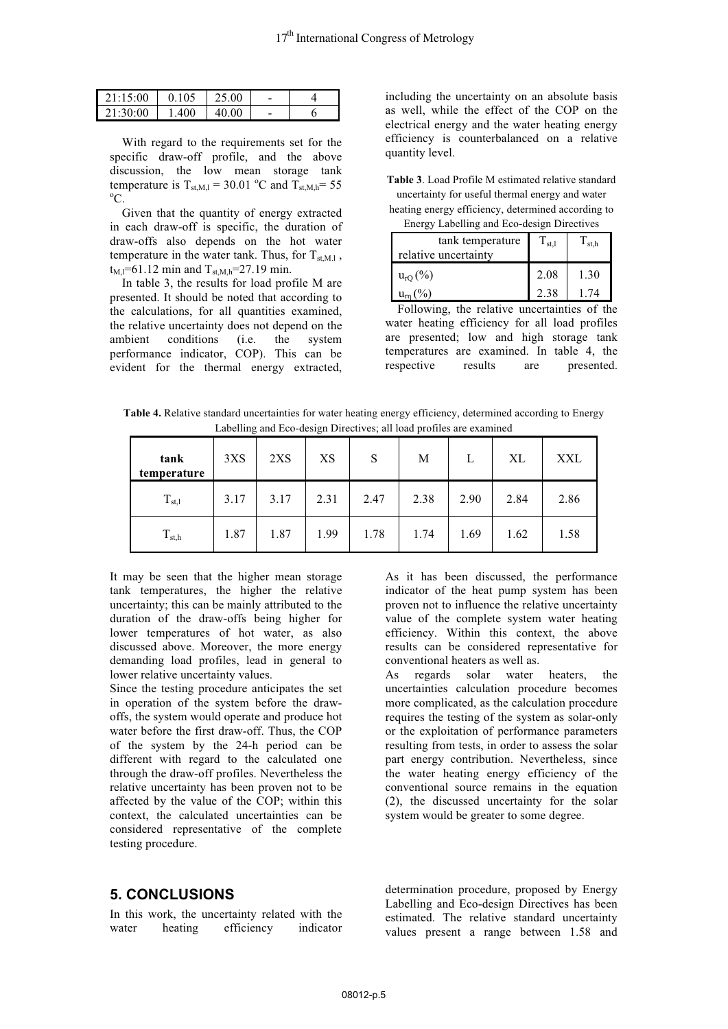| 21:15:00 | 0.105 | 25.00 |  |
|----------|-------|-------|--|
| 21:30:00 | 1.400 | 40.00 |  |

 With regard to the requirements set for the specific draw-off profile, and the above discussion, the low mean storage tank temperature is  $T_{\text{st,M,l}} = 30.01 \text{ °C}$  and  $T_{\text{st,M,h}} = 55$  $\rm{^0C}$ .

 Given that the quantity of energy extracted in each draw-off is specific, the duration of draw-offs also depends on the hot water temperature in the water tank. Thus, for  $T_{\text{st,M.l}}$ ,  $t_{M,l}=61.12$  min and  $T_{st,M,h}=27.19$  min.

 In table 3, the results for load profile M are presented. It should be noted that according to the calculations, for all quantities examined, the relative uncertainty does not depend on the ambient conditions (i.e. the system performance indicator, COP). This can be evident for the thermal energy extracted,

including the uncertainty on an absolute basis as well, while the effect of the COP on the electrical energy and the water heating energy efficiency is counterbalanced on a relative quantity level.

**Table 3**. Load Profile M estimated relative standard uncertainty for useful thermal energy and water heating energy efficiency, determined according to

Energy Labelling and Eco-design Directives

| $\text{Error}$ , $\text{Function}$ and $\text{Error}$ and $\text{Error}$<br>tank temperature | $\rm T_{st,l}$ | $\Gamma_{\rm st,h}$ |  |
|----------------------------------------------------------------------------------------------|----------------|---------------------|--|
| relative uncertainty                                                                         |                |                     |  |
| $u_{rQ}(\%)$                                                                                 | 2.08           | 1.30                |  |
| $u_{rn}$ (%)                                                                                 | 2.38           | 1 74                |  |

 Following, the relative uncertainties of the water heating efficiency for all load profiles are presented; low and high storage tank temperatures are examined. In table 4, the respective results are presented.

**Table 4.** Relative standard uncertainties for water heating energy efficiency, determined according to Energy Labelling and Eco-design Directives; all load profiles are examined

| tank<br>temperature | 3XS  | 2XS  | XS   | S    | M    | L    | XL   | <b>XXL</b> |
|---------------------|------|------|------|------|------|------|------|------------|
| $T_{st,1}$          | 3.17 | 3.17 | 2.31 | 2.47 | 2.38 | 2.90 | 2.84 | 2.86       |
| $T_{\rm st,h}$      | 1.87 | 1.87 | 1.99 | 1.78 | 1.74 | 1.69 | 1.62 | 1.58       |

It may be seen that the higher mean storage tank temperatures, the higher the relative uncertainty; this can be mainly attributed to the duration of the draw-offs being higher for lower temperatures of hot water, as also discussed above. Moreover, the more energy demanding load profiles, lead in general to lower relative uncertainty values.

Since the testing procedure anticipates the set in operation of the system before the drawoffs, the system would operate and produce hot water before the first draw-off. Thus, the COP of the system by the 24-h period can be different with regard to the calculated one through the draw-off profiles. Nevertheless the relative uncertainty has been proven not to be affected by the value of the COP; within this context, the calculated uncertainties can be considered representative of the complete testing procedure.

### **5. CONCLUSIONS**

In this work, the uncertainty related with the water heating efficiency indicator

As it has been discussed, the performance indicator of the heat pump system has been proven not to influence the relative uncertainty value of the complete system water heating efficiency. Within this context, the above results can be considered representative for conventional heaters as well as.

As regards solar water heaters, the uncertainties calculation procedure becomes more complicated, as the calculation procedure requires the testing of the system as solar-only or the exploitation of performance parameters resulting from tests, in order to assess the solar part energy contribution. Nevertheless, since the water heating energy efficiency of the conventional source remains in the equation (2), the discussed uncertainty for the solar system would be greater to some degree.

determination procedure, proposed by Energy Labelling and Eco-design Directives has been estimated. The relative standard uncertainty values present a range between 1.58 and